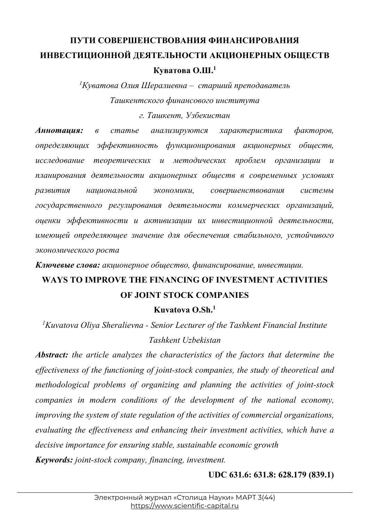## **ПУТИ СОВЕРШЕНСТВОВАНИЯ ФИНАНСИРОВАНИЯ ИНВЕСТИЦИОННОЙ ДЕЯТЕЛЬНОСТИ АКЦИОНЕРНЫХ ОБЩЕСТВ Куватова О.Ш.1**

*1 Куватова Олия Шералиевна – старший преподаватель Ташкентского финансового института г. Ташкент, Узбекистан*

*Аннотация: в статье анализируются характеристика факторов, определяющих эффективность функционирования акционерных обществ, исследование теоретических и методических проблем организации и планирования деятельности акционерных обществ в современных условиях развития национальной экономики, совершенствования системы государственного регулирования деятельности коммерческих организаций, оценки эффективности и активизации их инвестиционной деятельности, имеющей определяющее значение для обеспечения стабильного, устойчивого экономического роста*

*Ключевые слова: акционерное общество, финансирование, инвестиции.*

## **WAYS TO IMPROVE THE FINANCING OF INVESTMENT ACTIVITIES OF JOINT STOCK COMPANIES**

**Kuvatova O.Sh.1**

*1 Kuvatova Oliya Sheralievna - Senior Lecturer of the Tashkent Financial Institute Tashkent Uzbekistan*

*Abstract: the article analyzes the characteristics of the factors that determine the effectiveness of the functioning of joint-stock companies, the study of theoretical and methodological problems of organizing and planning the activities of joint-stock companies in modern conditions of the development of the national economy, improving the system of state regulation of the activities of commercial organizations, evaluating the effectiveness and enhancing their investment activities, which have a decisive importance for ensuring stable, sustainable economic growth Keywords: joint-stock company, financing, investment.*

**UDC 631.6: 631.8: 628.179 (839.1)**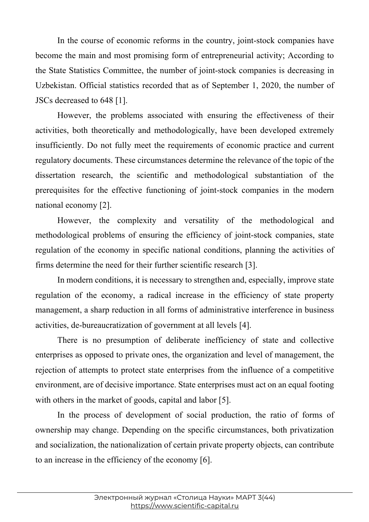In the course of economic reforms in the country, joint-stock companies have become the main and most promising form of entrepreneurial activity; According to the State Statistics Committee, the number of joint-stock companies is decreasing in Uzbekistan. Official statistics recorded that as of September 1, 2020, the number of JSCs decreased to 648 [1].

However, the problems associated with ensuring the effectiveness of their activities, both theoretically and methodologically, have been developed extremely insufficiently. Do not fully meet the requirements of economic practice and current regulatory documents. These circumstances determine the relevance of the topic of the dissertation research, the scientific and methodological substantiation of the prerequisites for the effective functioning of joint-stock companies in the modern national economy [2].

However, the complexity and versatility of the methodological and methodological problems of ensuring the efficiency of joint-stock companies, state regulation of the economy in specific national conditions, planning the activities of firms determine the need for their further scientific research [3].

In modern conditions, it is necessary to strengthen and, especially, improve state regulation of the economy, a radical increase in the efficiency of state property management, a sharp reduction in all forms of administrative interference in business activities, de-bureaucratization of government at all levels [4].

There is no presumption of deliberate inefficiency of state and collective enterprises as opposed to private ones, the organization and level of management, the rejection of attempts to protect state enterprises from the influence of a competitive environment, are of decisive importance. State enterprises must act on an equal footing with others in the market of goods, capital and labor [5].

In the process of development of social production, the ratio of forms of ownership may change. Depending on the specific circumstances, both privatization and socialization, the nationalization of certain private property objects, can contribute to an increase in the efficiency of the economy [6].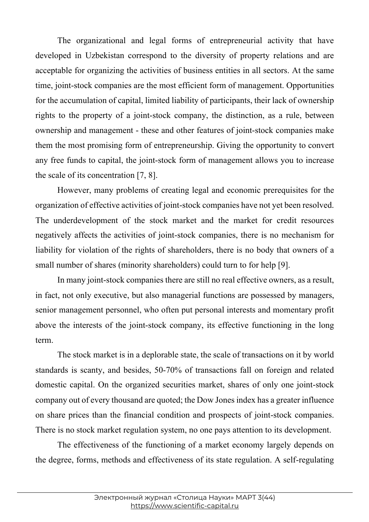The organizational and legal forms of entrepreneurial activity that have developed in Uzbekistan correspond to the diversity of property relations and are acceptable for organizing the activities of business entities in all sectors. At the same time, joint-stock companies are the most efficient form of management. Opportunities for the accumulation of capital, limited liability of participants, their lack of ownership rights to the property of a joint-stock company, the distinction, as a rule, between ownership and management - these and other features of joint-stock companies make them the most promising form of entrepreneurship. Giving the opportunity to convert any free funds to capital, the joint-stock form of management allows you to increase the scale of its concentration [7, 8].

However, many problems of creating legal and economic prerequisites for the organization of effective activities of joint-stock companies have not yet been resolved. The underdevelopment of the stock market and the market for credit resources negatively affects the activities of joint-stock companies, there is no mechanism for liability for violation of the rights of shareholders, there is no body that owners of a small number of shares (minority shareholders) could turn to for help [9].

In many joint-stock companies there are still no real effective owners, as a result, in fact, not only executive, but also managerial functions are possessed by managers, senior management personnel, who often put personal interests and momentary profit above the interests of the joint-stock company, its effective functioning in the long term.

The stock market is in a deplorable state, the scale of transactions on it by world standards is scanty, and besides, 50-70% of transactions fall on foreign and related domestic capital. On the organized securities market, shares of only one joint-stock company out of every thousand are quoted; the Dow Jones index has a greater influence on share prices than the financial condition and prospects of joint-stock companies. There is no stock market regulation system, no one pays attention to its development.

The effectiveness of the functioning of a market economy largely depends on the degree, forms, methods and effectiveness of its state regulation. A self-regulating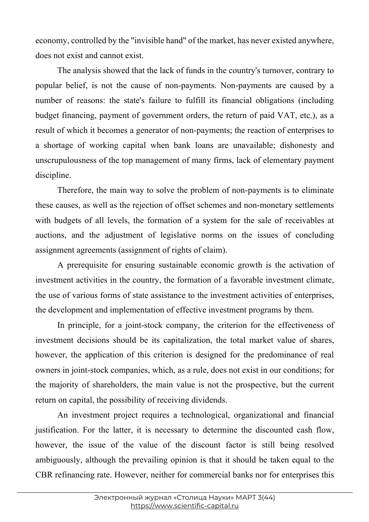economy, controlled by the "invisible hand" of the market, has never existed anywhere, does not exist and cannot exist.

The analysis showed that the lack of funds in the country's turnover, contrary to popular belief, is not the cause of non-payments. Non-payments are caused by a number of reasons: the state's failure to fulfill its financial obligations (including budget financing, payment of government orders, the return of paid VAT, etc.), as a result of which it becomes a generator of non-payments; the reaction of enterprises to a shortage of working capital when bank loans are unavailable; dishonesty and unscrupulousness of the top management of many firms, lack of elementary payment discipline.

Therefore, the main way to solve the problem of non-payments is to eliminate these causes, as well as the rejection of offset schemes and non-monetary settlements with budgets of all levels, the formation of a system for the sale of receivables at auctions, and the adjustment of legislative norms on the issues of concluding assignment agreements (assignment of rights of claim).

A prerequisite for ensuring sustainable economic growth is the activation of investment activities in the country, the formation of a favorable investment climate, the use of various forms of state assistance to the investment activities of enterprises, the development and implementation of effective investment programs by them.

In principle, for a joint-stock company, the criterion for the effectiveness of investment decisions should be its capitalization, the total market value of shares, however, the application of this criterion is designed for the predominance of real owners in joint-stock companies, which, as a rule, does not exist in our conditions; for the majority of shareholders, the main value is not the prospective, but the current return on capital, the possibility of receiving dividends.

An investment project requires a technological, organizational and financial justification. For the latter, it is necessary to determine the discounted cash flow, however, the issue of the value of the discount factor is still being resolved ambiguously, although the prevailing opinion is that it should be taken equal to the CBR refinancing rate. However, neither for commercial banks nor for enterprises this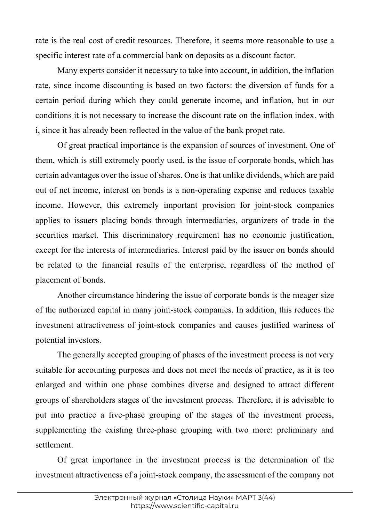rate is the real cost of credit resources. Therefore, it seems more reasonable to use a specific interest rate of a commercial bank on deposits as a discount factor.

Many experts consider it necessary to take into account, in addition, the inflation rate, since income discounting is based on two factors: the diversion of funds for a certain period during which they could generate income, and inflation, but in our conditions it is not necessary to increase the discount rate on the inflation index. with i, since it has already been reflected in the value of the bank propet rate.

Of great practical importance is the expansion of sources of investment. One of them, which is still extremely poorly used, is the issue of corporate bonds, which has certain advantages over the issue of shares. One is that unlike dividends, which are paid out of net income, interest on bonds is a non-operating expense and reduces taxable income. However, this extremely important provision for joint-stock companies applies to issuers placing bonds through intermediaries, organizers of trade in the securities market. This discriminatory requirement has no economic justification, except for the interests of intermediaries. Interest paid by the issuer on bonds should be related to the financial results of the enterprise, regardless of the method of placement of bonds.

Another circumstance hindering the issue of corporate bonds is the meager size of the authorized capital in many joint-stock companies. In addition, this reduces the investment attractiveness of joint-stock companies and causes justified wariness of potential investors.

The generally accepted grouping of phases of the investment process is not very suitable for accounting purposes and does not meet the needs of practice, as it is too enlarged and within one phase combines diverse and designed to attract different groups of shareholders stages of the investment process. Therefore, it is advisable to put into practice a five-phase grouping of the stages of the investment process, supplementing the existing three-phase grouping with two more: preliminary and settlement.

Of great importance in the investment process is the determination of the investment attractiveness of a joint-stock company, the assessment of the company not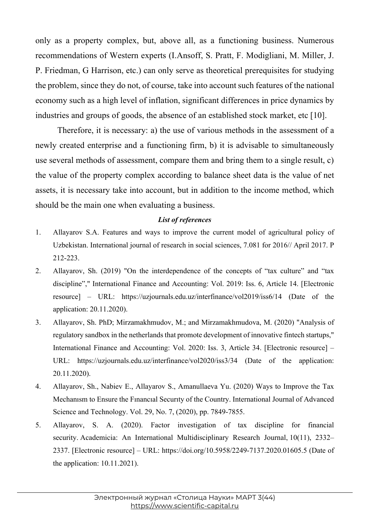only as a property complex, but, above all, as a functioning business. Numerous recommendations of Western experts (I.Ansoff, S. Pratt, F. Modigliani, M. Miller, J. P. Friedman, G Harrison, etc.) can only serve as theoretical prerequisites for studying the problem, since they do not, of course, take into account such features of the national economy such as a high level of inflation, significant differences in price dynamics by industries and groups of goods, the absence of an established stock market, etc [10].

Therefore, it is necessary: a) the use of various methods in the assessment of a newly created enterprise and a functioning firm, b) it is advisable to simultaneously use several methods of assessment, compare them and bring them to a single result, c) the value of the property complex according to balance sheet data is the value of net assets, it is necessary take into account, but in addition to the income method, which should be the main one when evaluating a business.

## *List of references*

- 1. Allayarov S.A. Features and ways to improve the current model of agricultural policy of Uzbekistan. International journal of research in social sciences, 7.081 for 2016// April 2017. P 212-223.
- 2. Allayarov, Sh. (2019) "On the interdependence of the concepts of "tax culture" and "tax discipline"," International Finance and Accounting: Vol. 2019: Iss. 6, Article 14. [Electronic resource] – URL: https://uzjournals.edu.uz/interfinance/vol2019/iss6/14 (Date of the application: 20.11.2020).
- 3. Allayarov, Sh. PhD; Mirzamakhmudov, M.; and Mirzamakhmudova, M. (2020) "Analysis of regulatory sandbox in the netherlands that promote development of innovative fintech startups," International Finance and Accounting: Vol. 2020: Iss. 3, Article 34. [Electronic resource] – URL: https://uzjournals.edu.uz/interfinance/vol2020/iss3/34 (Date of the application: 20.11.2020).
- 4. Allayarov, Sh., Nabiev E., Allayarov S., Amanullaeva Yu. (2020) Ways to Improve the Tax Mechanısm to Ensure the Fınancıal Securıty of the Country. International Journal of Advanced Science and Technology. Vol. 29, No. 7, (2020), pp. 7849-7855.
- 5. Allayarov, S. A. (2020). Factor investigation of tax discipline for financial security. Academicia: An International Multidisciplinary Research Journal, 10(11), 2332– 2337. [Electronic resource] – URL: https://doi.org/10.5958/2249-7137.2020.01605.5 (Date of the application: 10.11.2021).